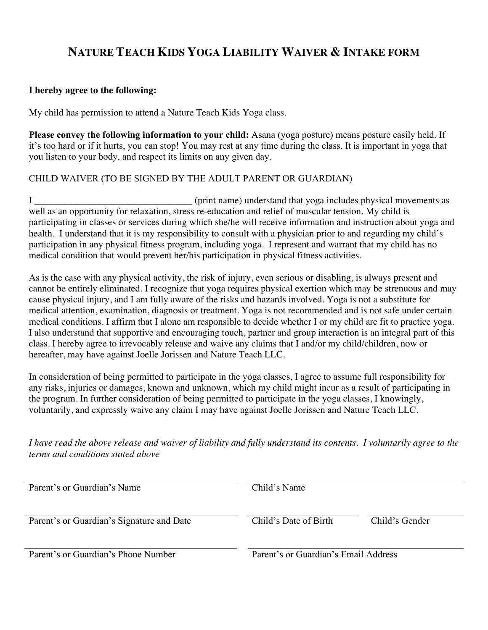## **NATURE TEACH KIDS YOGA LIABILITY WAIVER & INTAKE FORM**

## **I hereby agree to the following:**

My child has permission to attend a Nature Teach Kids Yoga class.

**Please convey the following information to your child:** Asana (yoga posture) means posture easily held. If it's too hard or if it hurts, you can stop! You may rest at any time during the class. It is important in yoga that you listen to your body, and respect its limits on any given day.

## CHILD WAIVER (TO BE SIGNED BY THE ADULT PARENT OR GUARDIAN)

I \_\_\_\_\_\_\_\_\_\_\_\_\_\_\_\_\_\_\_\_\_\_\_\_\_\_\_\_\_\_\_\_\_ (print name) understand that yoga includes physical movements as well as an opportunity for relaxation, stress re-education and relief of muscular tension. My child is participating in classes or services during which she/he will receive information and instruction about yoga and health. I understand that it is my responsibility to consult with a physician prior to and regarding my child's participation in any physical fitness program, including yoga. I represent and warrant that my child has no medical condition that would prevent her/his participation in physical fitness activities.

As is the case with any physical activity, the risk of injury, even serious or disabling, is always present and cannot be entirely eliminated. I recognize that yoga requires physical exertion which may be strenuous and may cause physical injury, and I am fully aware of the risks and hazards involved. Yoga is not a substitute for medical attention, examination, diagnosis or treatment. Yoga is not recommended and is not safe under certain medical conditions. I affirm that I alone am responsible to decide whether I or my child are fit to practice yoga. I also understand that supportive and encouraging touch, partner and group interaction is an integral part of this class. I hereby agree to irrevocably release and waive any claims that I and/or my child/children, now or hereafter, may have against Joelle Jorissen and Nature Teach LLC.

In consideration of being permitted to participate in the yoga classes, I agree to assume full responsibility for any risks, injuries or damages, known and unknown, which my child might incur as a result of participating in the program. In further consideration of being permitted to participate in the yoga classes, I knowingly, voluntarily, and expressly waive any claim I may have against Joelle Jorissen and Nature Teach LLC.

*I have read the above release and waiver of liability and fully understand its contents. I voluntarily agree to the terms and conditions stated above*

| Parent's or Guardian's Name               | Child's Name                         |                |
|-------------------------------------------|--------------------------------------|----------------|
| Parent's or Guardian's Signature and Date | Child's Date of Birth                | Child's Gender |
| Parent's or Guardian's Phone Number       | Parent's or Guardian's Email Address |                |